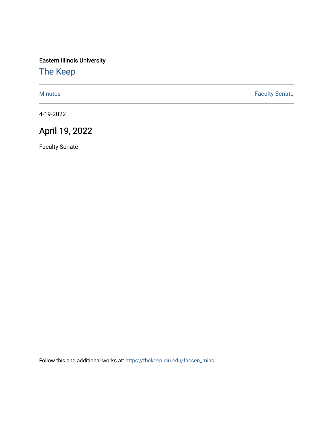Eastern Illinois University

## [The Keep](https://thekeep.eiu.edu/)

[Minutes](https://thekeep.eiu.edu/facsen_mins) **Faculty Senate** 

4-19-2022

## April 19, 2022

Faculty Senate

Follow this and additional works at: [https://thekeep.eiu.edu/facsen\\_mins](https://thekeep.eiu.edu/facsen_mins?utm_source=thekeep.eiu.edu%2Ffacsen_mins%2F1163&utm_medium=PDF&utm_campaign=PDFCoverPages)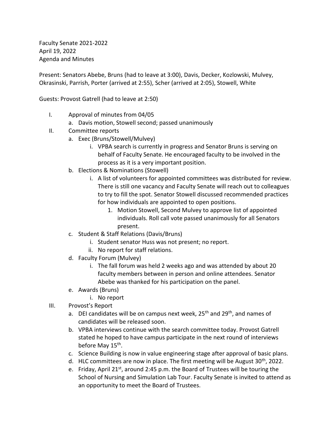Faculty Senate 2021-2022 April 19, 2022 Agenda and Minutes

Present: Senators Abebe, Bruns (had to leave at 3:00), Davis, Decker, Kozlowski, Mulvey, Okrasinski, Parrish, Porter (arrived at 2:55), Scher (arrived at 2:05), Stowell, White

Guests: Provost Gatrell (had to leave at 2:50)

- I. Approval of minutes from 04/05
	- a. Davis motion, Stowell second; passed unanimously
- II. Committee reports
	- a. Exec (Bruns/Stowell/Mulvey)
		- i. VPBA search is currently in progress and Senator Bruns is serving on behalf of Faculty Senate. He encouraged faculty to be involved in the process as it is a very important position.
	- b. Elections & Nominations (Stowell)
		- i. A list of volunteers for appointed committees was distributed for review. There is still one vacancy and Faculty Senate will reach out to colleagues to try to fill the spot. Senator Stowell discussed recommended practices for how individuals are appointed to open positions.
			- 1. Motion Stowell, Second Mulvey to approve list of appointed individuals. Roll call vote passed unanimously for all Senators present.
	- c. Student & Staff Relations (Davis/Bruns)
		- i. Student senator Huss was not present; no report.
		- ii. No report for staff relations.
	- d. Faculty Forum (Mulvey)
		- i. The fall forum was held 2 weeks ago and was attended by about 20 faculty members between in person and online attendees. Senator Abebe was thanked for his participation on the panel.
	- e. Awards (Bruns)
		- i. No report
- III. Provost's Report
	- a. DEI candidates will be on campus next week, 25<sup>th</sup> and 29<sup>th</sup>, and names of candidates will be released soon.
	- b. VPBA interviews continue with the search committee today. Provost Gatrell stated he hoped to have campus participate in the next round of interviews before May 15<sup>th</sup>.
	- c. Science Building is now in value engineering stage after approval of basic plans.
	- d. HLC committees are now in place. The first meeting will be August  $30<sup>th</sup>$ , 2022.
	- e. Friday, April 21<sup>st</sup>, around 2:45 p.m. the Board of Trustees will be touring the School of Nursing and Simulation Lab Tour. Faculty Senate is invited to attend as an opportunity to meet the Board of Trustees.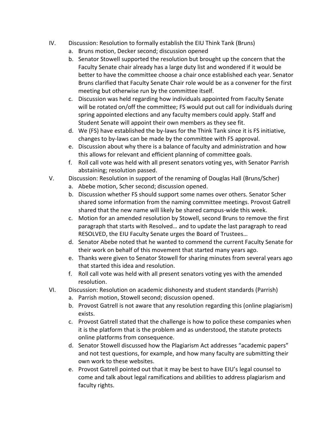- IV. Discussion: Resolution to formally establish the EIU Think Tank (Bruns)
	- a. Bruns motion, Decker second; discussion opened
	- b. Senator Stowell supported the resolution but brought up the concern that the Faculty Senate chair already has a large duty list and wondered if it would be better to have the committee choose a chair once established each year. Senator Bruns clarified that Faculty Senate Chair role would be as a convener for the first meeting but otherwise run by the committee itself.
	- c. Discussion was held regarding how individuals appointed from Faculty Senate will be rotated on/off the committee; FS would put out call for individuals during spring appointed elections and any faculty members could apply. Staff and Student Senate will appoint their own members as they see fit.
	- d. We (FS) have established the by-laws for the Think Tank since it is FS initiative, changes to by-laws can be made by the committee with FS approval.
	- e. Discussion about why there is a balance of faculty and administration and how this allows for relevant and efficient planning of committee goals.
	- f. Roll call vote was held with all present senators voting yes, with Senator Parrish abstaining; resolution passed.
- V. Discussion: Resolution in support of the renaming of Douglas Hall (Bruns/Scher)
	- a. Abebe motion, Scher second; discussion opened.
	- b. Discussion whether FS should support some names over others. Senator Scher shared some information from the naming committee meetings. Provost Gatrell shared that the new name will likely be shared campus-wide this week.
	- c. Motion for an amended resolution by Stowell, second Bruns to remove the first paragraph that starts with Resolved… and to update the last paragraph to read RESOLVED, the EIU Faculty Senate urges the Board of Trustees…
	- d. Senator Abebe noted that he wanted to commend the current Faculty Senate for their work on behalf of this movement that started many years ago.
	- e. Thanks were given to Senator Stowell for sharing minutes from several years ago that started this idea and resolution.
	- f. Roll call vote was held with all present senators voting yes with the amended resolution.
- VI. Discussion: Resolution on academic dishonesty and student standards (Parrish)
	- a. Parrish motion, Stowell second; discussion opened.
	- b. Provost Gatrell is not aware that any resolution regarding this (online plagiarism) exists.
	- c. Provost Gatrell stated that the challenge is how to police these companies when it is the platform that is the problem and as understood, the statute protects online platforms from consequence.
	- d. Senator Stowell discussed how the Plagiarism Act addresses "academic papers" and not test questions, for example, and how many faculty are submitting their own work to these websites.
	- e. Provost Gatrell pointed out that it may be best to have EIU's legal counsel to come and talk about legal ramifications and abilities to address plagiarism and faculty rights.